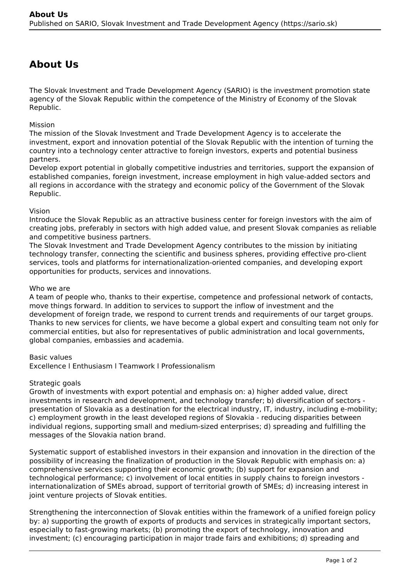# **About Us**

The Slovak Investment and Trade Development Agency (SARIO) is the investment promotion state agency of the Slovak Republic within the competence of the Ministry of Economy of the Slovak Republic.

## Mission

The mission of the Slovak Investment and Trade Development Agency is to accelerate the investment, export and innovation potential of the Slovak Republic with the intention of turning the country into a technology center attractive to foreign investors, experts and potential business partners.

Develop export potential in globally competitive industries and territories, support the expansion of established companies, foreign investment, increase employment in high value-added sectors and all regions in accordance with the strategy and economic policy of the Government of the Slovak Republic.

## Vision

Introduce the Slovak Republic as an attractive business center for foreign investors with the aim of creating jobs, preferably in sectors with high added value, and present Slovak companies as reliable and competitive business partners.

The Slovak Investment and Trade Development Agency contributes to the mission by initiating technology transfer, connecting the scientific and business spheres, providing effective pro-client services, tools and platforms for internationalization-oriented companies, and developing export opportunities for products, services and innovations.

## Who we are

A team of people who, thanks to their expertise, competence and professional network of contacts, move things forward. In addition to services to support the inflow of investment and the development of foreign trade, we respond to current trends and requirements of our target groups. Thanks to new services for clients, we have become a global expert and consulting team not only for commercial entities, but also for representatives of public administration and local governments, global companies, embassies and academia.

#### Basic values

Excellence l Enthusiasm l Teamwork l Professionalism

#### Strategic goals

Growth of investments with export potential and emphasis on: a) higher added value, direct investments in research and development, and technology transfer; b) diversification of sectors presentation of Slovakia as a destination for the electrical industry, IT, industry, including e-mobility; c) employment growth in the least developed regions of Slovakia - reducing disparities between individual regions, supporting small and medium-sized enterprises; d) spreading and fulfilling the messages of the Slovakia nation brand.

Systematic support of established investors in their expansion and innovation in the direction of the possibility of increasing the finalization of production in the Slovak Republic with emphasis on: a) comprehensive services supporting their economic growth; (b) support for expansion and technological performance; c) involvement of local entities in supply chains to foreign investors internationalization of SMEs abroad, support of territorial growth of SMEs; d) increasing interest in joint venture projects of Slovak entities.

Strengthening the interconnection of Slovak entities within the framework of a unified foreign policy by: a) supporting the growth of exports of products and services in strategically important sectors, especially to fast-growing markets; (b) promoting the export of technology, innovation and investment; (c) encouraging participation in major trade fairs and exhibitions; d) spreading and